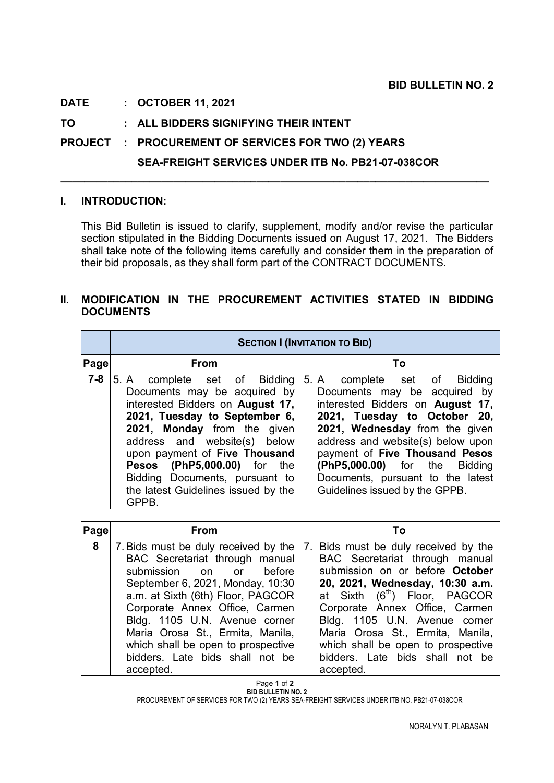## **DATE : OCTOBER 11, 2021**

**TO : ALL BIDDERS SIGNIFYING THEIR INTENT**

**PROJECT : PROCUREMENT OF SERVICES FOR TWO (2) YEARS** 

## **SEA-FREIGHT SERVICES UNDER ITB No. PB21-07-038COR**

**\_\_\_\_\_\_\_\_\_\_\_\_\_\_\_\_\_\_\_\_\_\_\_\_\_\_\_\_\_\_\_\_\_\_\_\_\_\_\_\_\_\_\_\_\_\_\_\_\_\_\_\_\_\_\_\_\_\_\_\_\_\_\_\_\_\_\_\_\_\_\_\_**

## **I. INTRODUCTION:**

This Bid Bulletin is issued to clarify, supplement, modify and/or revise the particular section stipulated in the Bidding Documents issued on August 17, 2021. The Bidders shall take note of the following items carefully and consider them in the preparation of their bid proposals, as they shall form part of the CONTRACT DOCUMENTS.

## **II. MODIFICATION IN THE PROCUREMENT ACTIVITIES STATED IN BIDDING DOCUMENTS**

|             | <b>SECTION I (INVITATION TO BID)</b>                                                                                                                                                                                                                                                                                                                  |                                                                                                                                                                                                                                                                                                                                                   |
|-------------|-------------------------------------------------------------------------------------------------------------------------------------------------------------------------------------------------------------------------------------------------------------------------------------------------------------------------------------------------------|---------------------------------------------------------------------------------------------------------------------------------------------------------------------------------------------------------------------------------------------------------------------------------------------------------------------------------------------------|
| <b>Page</b> | <b>From</b>                                                                                                                                                                                                                                                                                                                                           | Τo                                                                                                                                                                                                                                                                                                                                                |
| $7 - 8$     | 5. A complete set of Bidding<br>Documents may be acquired by<br>interested Bidders on August 17,<br>2021, Tuesday to September 6,<br>2021, Monday from the given<br>address and website(s) below<br>upon payment of Five Thousand<br>Pesos (PhP5,000.00) for<br>the<br>Bidding Documents, pursuant to<br>the latest Guidelines issued by the<br>GPPB. | 5. A complete set of Bidding<br>Documents may be acquired by<br>interested Bidders on August 17,<br>2021, Tuesday to October 20,<br>2021, Wednesday from the given<br>address and website(s) below upon<br>payment of Five Thousand Pesos<br>(PhP5,000.00) for the Bidding<br>Documents, pursuant to the latest<br>Guidelines issued by the GPPB. |

| Page | <b>From</b>                          | Τo                                                  |
|------|--------------------------------------|-----------------------------------------------------|
| 8    | 7. Bids must be duly received by the | Bids must be duly received by the<br>7 <sub>1</sub> |
|      | BAC Secretariat through manual       | BAC Secretariat through manual                      |
|      | submission on or before              | submission on or before October                     |
|      | September 6, 2021, Monday, 10:30     | 20, 2021, Wednesday, 10:30 a.m.                     |
|      | a.m. at Sixth (6th) Floor, PAGCOR    | at Sixth (6 <sup>th</sup> ) Floor, PAGCOR           |
|      | Corporate Annex Office, Carmen       | Corporate Annex Office, Carmen                      |
|      | Bldg. 1105 U.N. Avenue corner        | Bldg. 1105 U.N. Avenue corner                       |
|      | Maria Orosa St., Ermita, Manila,     | Maria Orosa St., Ermita, Manila,                    |
|      | which shall be open to prospective   | which shall be open to prospective                  |
|      | bidders. Late bids shall not be      | bidders. Late bids shall not be                     |
|      | accepted.                            | accepted.                                           |

 Page **1** of **2 BID BULLETIN NO. 2**

PROCUREMENT OF SERVICES FOR TWO (2) YEARS SEA-FREIGHT SERVICES UNDER ITB NO. PB21-07-038COR